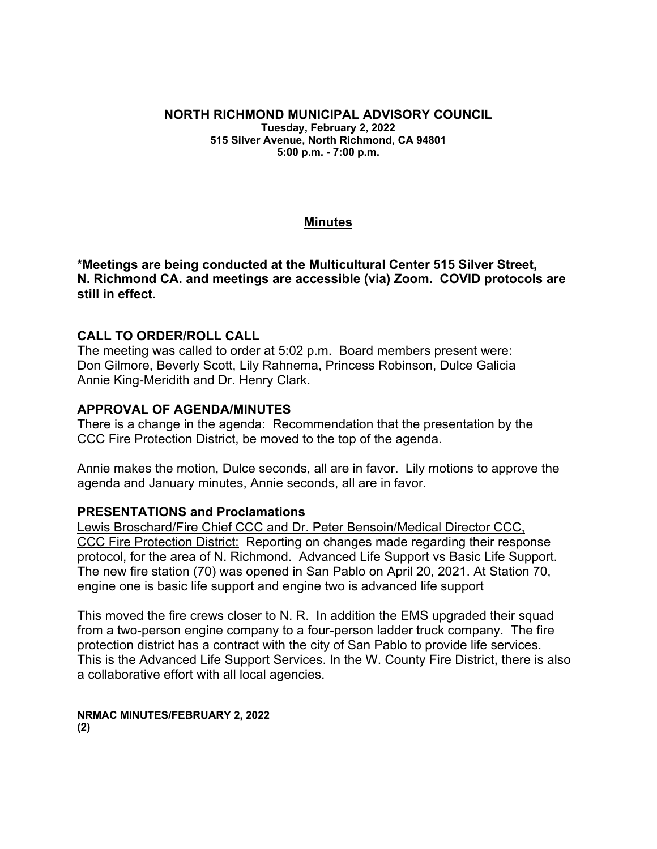## **NORTH RICHMOND MUNICIPAL ADVISORY COUNCIL Tuesday, February 2, 2022**

**515 Silver Avenue, North Richmond, CA 94801 5:00 p.m. - 7:00 p.m.**

#### **Minutes**

**\*Meetings are being conducted at the Multicultural Center 515 Silver Street, N. Richmond CA. and meetings are accessible (via) Zoom. COVID protocols are still in effect.**

#### **CALL TO ORDER/ROLL CALL**

The meeting was called to order at 5:02 p.m. Board members present were: Don Gilmore, Beverly Scott, Lily Rahnema, Princess Robinson, Dulce Galicia Annie King-Meridith and Dr. Henry Clark.

#### **APPROVAL OF AGENDA/MINUTES**

There is a change in the agenda: Recommendation that the presentation by the CCC Fire Protection District, be moved to the top of the agenda.

Annie makes the motion, Dulce seconds, all are in favor. Lily motions to approve the agenda and January minutes, Annie seconds, all are in favor.

#### **PRESENTATIONS and Proclamations**

Lewis Broschard/Fire Chief CCC and Dr. Peter Bensoin/Medical Director CCC, CCC Fire Protection District: Reporting on changes made regarding their response protocol, for the area of N. Richmond. Advanced Life Support vs Basic Life Support. The new fire station (70) was opened in San Pablo on April 20, 2021. At Station 70, engine one is basic life support and engine two is advanced life support

This moved the fire crews closer to N. R. In addition the EMS upgraded their squad from a two-person engine company to a four-person ladder truck company. The fire protection district has a contract with the city of San Pablo to provide life services. This is the Advanced Life Support Services. In the W. County Fire District, there is also a collaborative effort with all local agencies.

**NRMAC MINUTES/FEBRUARY 2, 2022 (2)**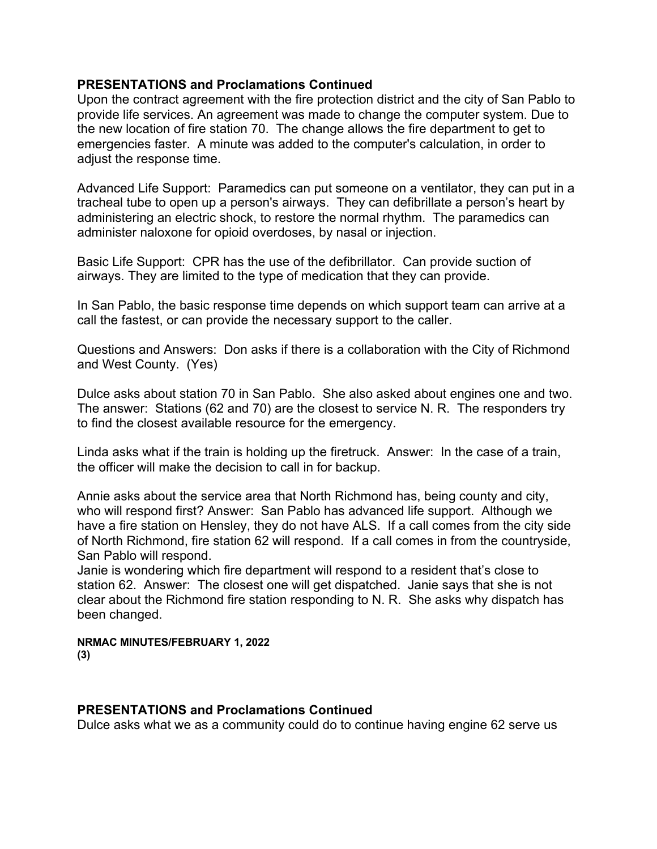#### **PRESENTATIONS and Proclamations Continued**

Upon the contract agreement with the fire protection district and the city of San Pablo to provide life services. An agreement was made to change the computer system. Due to the new location of fire station 70. The change allows the fire department to get to emergencies faster. A minute was added to the computer's calculation, in order to adjust the response time.

Advanced Life Support: Paramedics can put someone on a ventilator, they can put in a tracheal tube to open up a person's airways. They can defibrillate a person's heart by administering an electric shock, to restore the normal rhythm. The paramedics can administer naloxone for opioid overdoses, by nasal or injection.

Basic Life Support: CPR has the use of the defibrillator. Can provide suction of airways. They are limited to the type of medication that they can provide.

In San Pablo, the basic response time depends on which support team can arrive at a call the fastest, or can provide the necessary support to the caller.

Questions and Answers: Don asks if there is a collaboration with the City of Richmond and West County. (Yes)

Dulce asks about station 70 in San Pablo. She also asked about engines one and two. The answer: Stations (62 and 70) are the closest to service N. R. The responders try to find the closest available resource for the emergency.

Linda asks what if the train is holding up the firetruck. Answer: In the case of a train, the officer will make the decision to call in for backup.

Annie asks about the service area that North Richmond has, being county and city, who will respond first? Answer: San Pablo has advanced life support. Although we have a fire station on Hensley, they do not have ALS. If a call comes from the city side of North Richmond, fire station 62 will respond. If a call comes in from the countryside, San Pablo will respond.

Janie is wondering which fire department will respond to a resident that's close to station 62. Answer: The closest one will get dispatched. Janie says that she is not clear about the Richmond fire station responding to N. R. She asks why dispatch has been changed.

**NRMAC MINUTES/FEBRUARY 1, 2022 (3)**

#### **PRESENTATIONS and Proclamations Continued**

Dulce asks what we as a community could do to continue having engine 62 serve us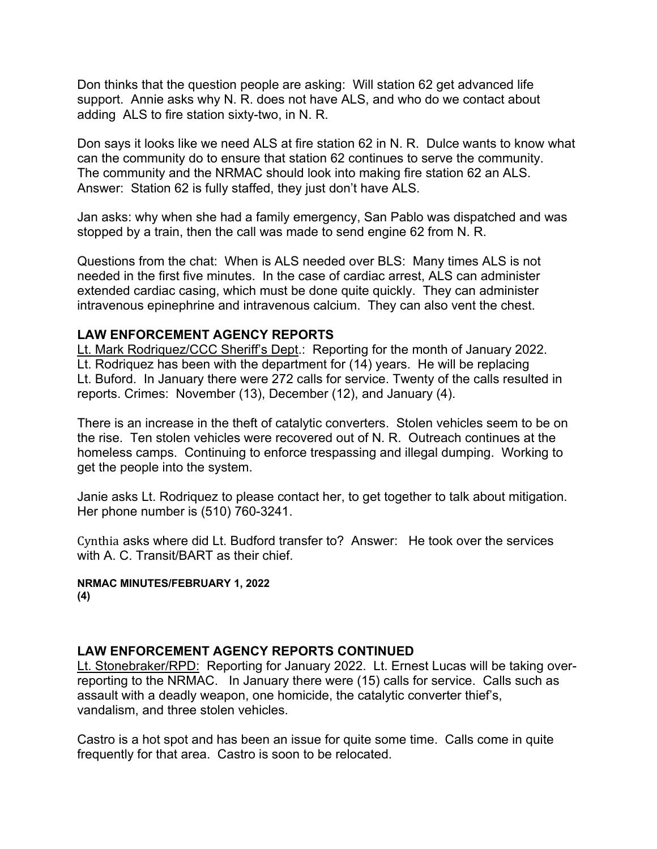Don thinks that the question people are asking: Will station 62 get advanced life support. Annie asks why N. R. does not have ALS, and who do we contact about adding ALS to fire station sixty-two, in N. R.

Don says it looks like we need ALS at fire station 62 in N. R. Dulce wants to know what can the community do to ensure that station 62 continues to serve the community. The community and the NRMAC should look into making fire station 62 an ALS. Answer: Station 62 is fully staffed, they just don't have ALS.

Jan asks: why when she had a family emergency, San Pablo was dispatched and was stopped by a train, then the call was made to send engine 62 from N. R.

Questions from the chat: When is ALS needed over BLS: Many times ALS is not needed in the first five minutes. In the case of cardiac arrest, ALS can administer extended cardiac casing, which must be done quite quickly. They can administer intravenous epinephrine and intravenous calcium. They can also vent the chest.

#### **LAW ENFORCEMENT AGENCY REPORTS**

Lt. Mark Rodriquez/CCC Sheriff's Dept.: Reporting for the month of January 2022. Lt. Rodriquez has been with the department for (14) years. He will be replacing Lt. Buford. In January there were 272 calls for service. Twenty of the calls resulted in reports. Crimes: November (13), December (12), and January (4).

There is an increase in the theft of catalytic converters. Stolen vehicles seem to be on the rise. Ten stolen vehicles were recovered out of N. R. Outreach continues at the homeless camps. Continuing to enforce trespassing and illegal dumping. Working to get the people into the system.

Janie asks Lt. Rodriquez to please contact her, to get together to talk about mitigation. Her phone number is (510) 760-3241.

Cynthia asks where did Lt. Budford transfer to? Answer: He took over the services with A. C. Transit/BART as their chief.

#### **NRMAC MINUTES/FEBRUARY 1, 2022 (4)**

#### **LAW ENFORCEMENT AGENCY REPORTS CONTINUED**

Lt. Stonebraker/RPD: Reporting for January 2022. Lt. Ernest Lucas will be taking overreporting to the NRMAC. In January there were (15) calls for service. Calls such as assault with a deadly weapon, one homicide, the catalytic converter thief's, vandalism, and three stolen vehicles.

Castro is a hot spot and has been an issue for quite some time. Calls come in quite frequently for that area. Castro is soon to be relocated.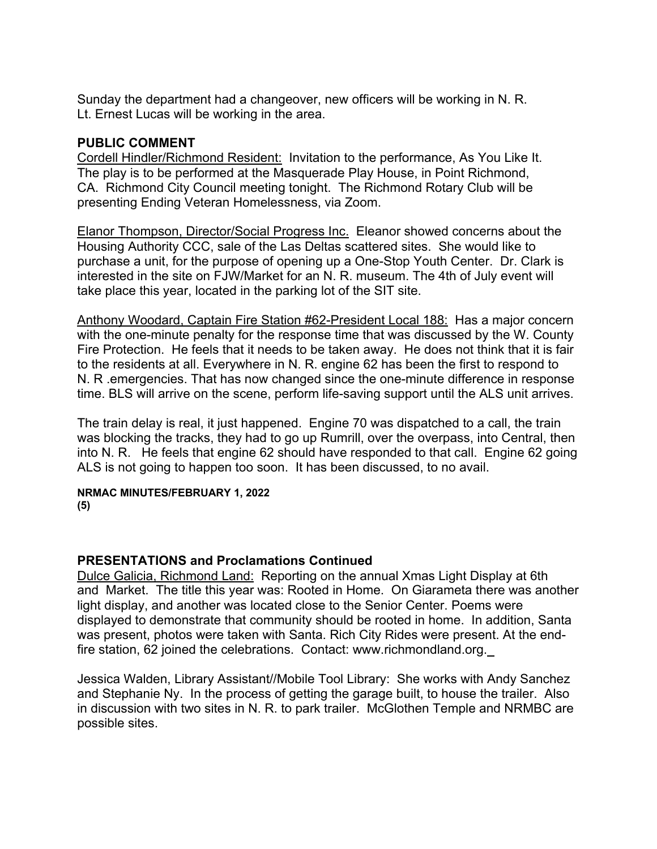Sunday the department had a changeover, new officers will be working in N. R. Lt. Ernest Lucas will be working in the area.

#### **PUBLIC COMMENT**

Cordell Hindler/Richmond Resident: Invitation to the performance, As You Like It. The play is to be performed at the Masquerade Play House, in Point Richmond, CA. Richmond City Council meeting tonight. The Richmond Rotary Club will be presenting Ending Veteran Homelessness, via Zoom.

Elanor Thompson, Director/Social Progress Inc. Eleanor showed concerns about the Housing Authority CCC, sale of the Las Deltas scattered sites. She would like to purchase a unit, for the purpose of opening up a One-Stop Youth Center. Dr. Clark is interested in the site on FJW/Market for an N. R. museum. The 4th of July event will take place this year, located in the parking lot of the SIT site.

Anthony Woodard, Captain Fire Station #62-President Local 188: Has a major concern with the one-minute penalty for the response time that was discussed by the W. County Fire Protection. He feels that it needs to be taken away. He does not think that it is fair to the residents at all. Everywhere in N. R. engine 62 has been the first to respond to N. R .emergencies. That has now changed since the one-minute difference in response time. BLS will arrive on the scene, perform life-saving support until the ALS unit arrives.

The train delay is real, it just happened. Engine 70 was dispatched to a call, the train was blocking the tracks, they had to go up Rumrill, over the overpass, into Central, then into N. R. He feels that engine 62 should have responded to that call. Engine 62 going ALS is not going to happen too soon. It has been discussed, to no avail.

**NRMAC MINUTES/FEBRUARY 1, 2022 (5)**

## **PRESENTATIONS and Proclamations Continued**

Dulce Galicia, Richmond Land: Reporting on the annual Xmas Light Display at 6th and Market. The title this year was: Rooted in Home. On Giarameta there was another light display, and another was located close to the Senior Center. Poems were displayed to demonstrate that community should be rooted in home. In addition, Santa was present, photos were taken with Santa. Rich City Rides were present. At the endfire station, 62 joined the celebrations. Contact: www.richmondland.org.

Jessica Walden, Library Assistant//Mobile Tool Library: She works with Andy Sanchez and Stephanie Ny. In the process of getting the garage built, to house the trailer. Also in discussion with two sites in N. R. to park trailer. McGlothen Temple and NRMBC are possible sites.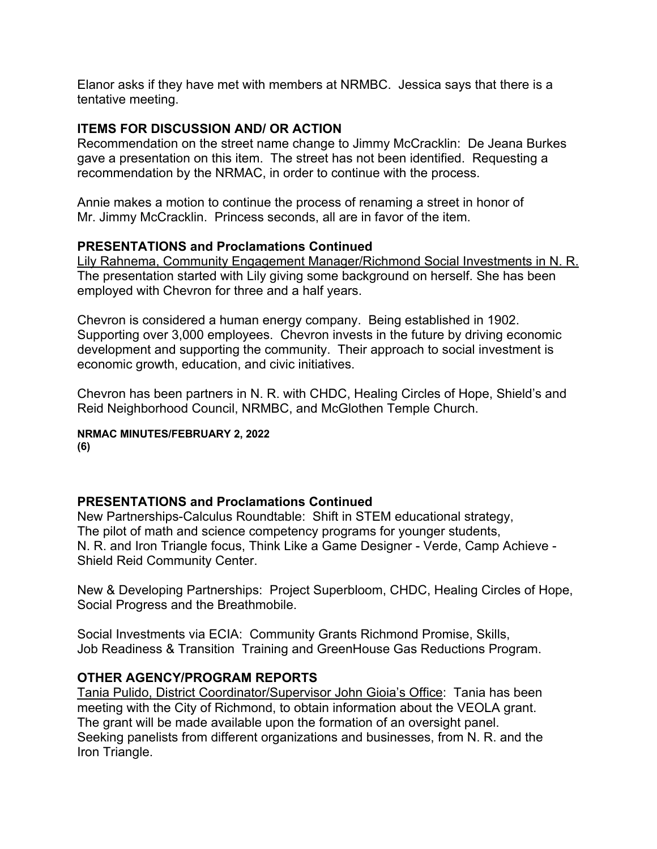Elanor asks if they have met with members at NRMBC. Jessica says that there is a tentative meeting.

#### **ITEMS FOR DISCUSSION AND/ OR ACTION**

Recommendation on the street name change to Jimmy McCracklin: De Jeana Burkes gave a presentation on this item. The street has not been identified. Requesting a recommendation by the NRMAC, in order to continue with the process.

Annie makes a motion to continue the process of renaming a street in honor of Mr. Jimmy McCracklin. Princess seconds, all are in favor of the item.

#### **PRESENTATIONS and Proclamations Continued**

Lily Rahnema, Community Engagement Manager/Richmond Social Investments in N. R. The presentation started with Lily giving some background on herself. She has been employed with Chevron for three and a half years.

Chevron is considered a human energy company. Being established in 1902. Supporting over 3,000 employees. Chevron invests in the future by driving economic development and supporting the community. Their approach to social investment is economic growth, education, and civic initiatives.

Chevron has been partners in N. R. with CHDC, Healing Circles of Hope, Shield's and Reid Neighborhood Council, NRMBC, and McGlothen Temple Church.

# **NRMAC MINUTES/FEBRUARY 2, 2022**

**(6)**

## **PRESENTATIONS and Proclamations Continued**

New Partnerships-Calculus Roundtable: Shift in STEM educational strategy, The pilot of math and science competency programs for younger students, N. R. and Iron Triangle focus, Think Like a Game Designer - Verde, Camp Achieve - Shield Reid Community Center.

New & Developing Partnerships: Project Superbloom, CHDC, Healing Circles of Hope, Social Progress and the Breathmobile.

Social Investments via ECIA: Community Grants Richmond Promise, Skills, Job Readiness & Transition Training and GreenHouse Gas Reductions Program.

## **OTHER AGENCY/PROGRAM REPORTS**

Tania Pulido, District Coordinator/Supervisor John Gioia's Office: Tania has been meeting with the City of Richmond, to obtain information about the VEOLA grant. The grant will be made available upon the formation of an oversight panel. Seeking panelists from different organizations and businesses, from N. R. and the Iron Triangle.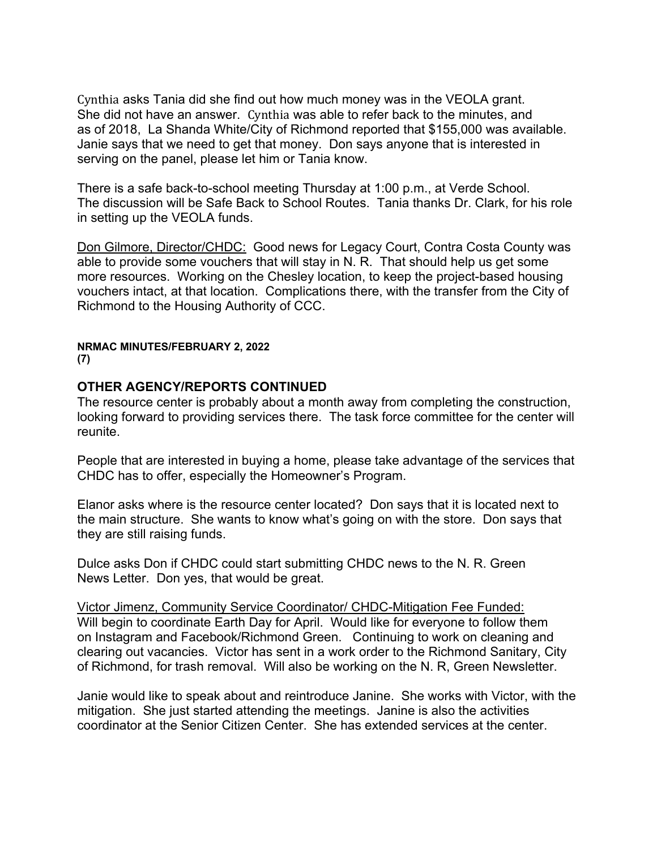Cynthia asks Tania did she find out how much money was in the VEOLA grant. She did not have an answer. Cynthia was able to refer back to the minutes, and as of 2018, La Shanda White/City of Richmond reported that \$155,000 was available. Janie says that we need to get that money. Don says anyone that is interested in serving on the panel, please let him or Tania know.

There is a safe back-to-school meeting Thursday at 1:00 p.m., at Verde School. The discussion will be Safe Back to School Routes. Tania thanks Dr. Clark, for his role in setting up the VEOLA funds.

Don Gilmore, Director/CHDC: Good news for Legacy Court, Contra Costa County was able to provide some vouchers that will stay in N. R. That should help us get some more resources. Working on the Chesley location, to keep the project-based housing vouchers intact, at that location. Complications there, with the transfer from the City of Richmond to the Housing Authority of CCC.

#### **NRMAC MINUTES/FEBRUARY 2, 2022 (7)**

## **OTHER AGENCY/REPORTS CONTINUED**

The resource center is probably about a month away from completing the construction, looking forward to providing services there. The task force committee for the center will reunite.

People that are interested in buying a home, please take advantage of the services that CHDC has to offer, especially the Homeowner's Program.

Elanor asks where is the resource center located? Don says that it is located next to the main structure. She wants to know what's going on with the store. Don says that they are still raising funds.

Dulce asks Don if CHDC could start submitting CHDC news to the N. R. Green News Letter. Don yes, that would be great.

Victor Jimenz, Community Service Coordinator/ CHDC-Mitigation Fee Funded: Will begin to coordinate Earth Day for April. Would like for everyone to follow them on Instagram and Facebook/Richmond Green. Continuing to work on cleaning and clearing out vacancies. Victor has sent in a work order to the Richmond Sanitary, City of Richmond, for trash removal. Will also be working on the N. R, Green Newsletter.

Janie would like to speak about and reintroduce Janine. She works with Victor, with the mitigation. She just started attending the meetings. Janine is also the activities coordinator at the Senior Citizen Center. She has extended services at the center.